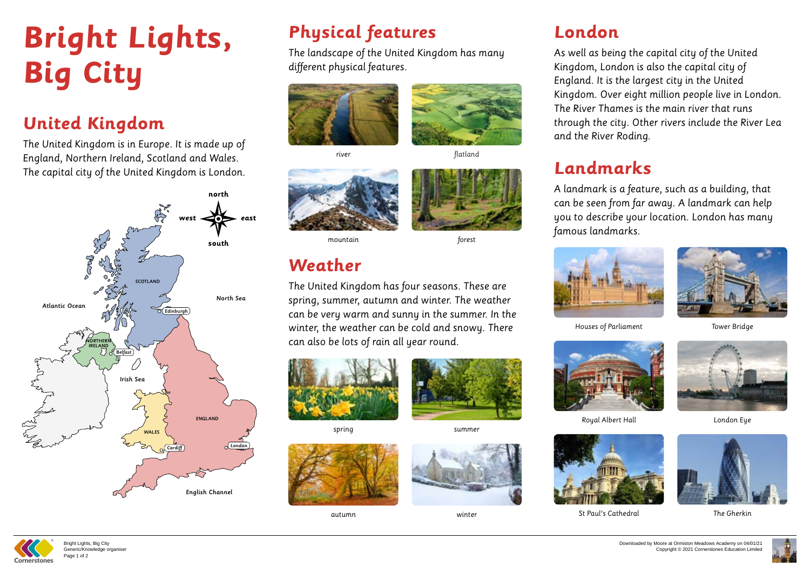# **Bright Lights, Big City**

## **United Kingdom**

The United Kingdom is in Europe. It is made up of England, Northern Ireland, Scotland and Wales. The capital city of the United Kingdom is London.

# **Physical features**

The landscape of the United Kingdom has many different physical features.



### **Weather**

The United Kingdom has four seasons. These are spring, summer, autumn and winter. The weather can be very warm and sunny in the summer. In the winter, the weather can be cold and snowy. There can also be lots of rain all year round.





Houses of Parliament

river



flatland





spring





Royal Albert Hall



St Paul's Cathedral



mountain

autumn





Tower Bridge

summer





London Eye



The Gherkin

forest

winter

## **London**



As well as being the capital city of the United Kingdom, London is also the capital city of England. It is the largest city in the United Kingdom. Over eight million people live in London. The River Thames is the main river that runs through the city. Other rivers include the River Lea and the River Roding.



### **Landmarks**

A landmark is a feature, such as a building, that can be seen from far away. A landmark can help you to describe your location. London has many famous landmarks.